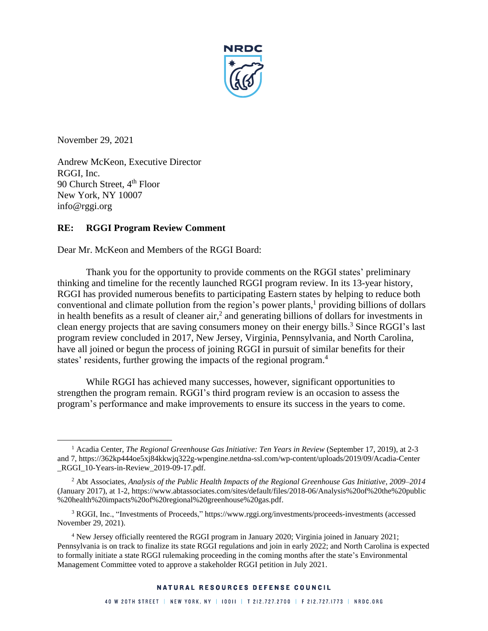

November 29, 2021

Andrew McKeon, Executive Director RGGI, Inc. 90 Church Street, 4<sup>th</sup> Floor New York, NY 10007 info@rggi.org

# **RE: RGGI Program Review Comment**

Dear Mr. McKeon and Members of the RGGI Board:

<span id="page-0-1"></span><span id="page-0-0"></span>Thank you for the opportunity to provide comments on the RGGI states' preliminary thinking and timeline for the recently launched RGGI program review. In its 13-year history, RGGI has provided numerous benefits to participating Eastern states by helping to reduce both conventional and climate pollution from the region's power plants, <sup>1</sup> providing billions of dollars in health benefits as a result of cleaner  $air$ , and generating billions of dollars for investments in clean energy projects that are saving consumers money on their energy bills.<sup>3</sup> Since RGGI's last program review concluded in 2017, New Jersey, Virginia, Pennsylvania, and North Carolina, have all joined or begun the process of joining RGGI in pursuit of similar benefits for their states' residents, further growing the impacts of the regional program. 4

While RGGI has achieved many successes, however, significant opportunities to strengthen the program remain. RGGI's third program review is an occasion to assess the program's performance and make improvements to ensure its success in the years to come.

<sup>1</sup> Acadia Center, *The Regional Greenhouse Gas Initiative: Ten Years in Review* (September 17, 2019), at 2-3 and 7, https://362kp444oe5xj84kkwjq322g-wpengine.netdna-ssl.com/wp-content/uploads/2019/09/Acadia-Center RGGI\_10-Years-in-Review\_2019-09-17.pdf.

<sup>2</sup> Abt Associates, *Analysis of the Public Health Impacts of the Regional Greenhouse Gas Initiative, 2009–2014* (January 2017), at 1-2, https://www.abtassociates.com/sites/default/files/2018-06/Analysis%20of%20the%20public %20health%20impacts%20of%20regional%20greenhouse%20gas.pdf.

<sup>3</sup> RGGI, Inc., "Investments of Proceeds," https://www.rggi.org/investments/proceeds-investments (accessed November 29, 2021).

<sup>4</sup> New Jersey officially reentered the RGGI program in January 2020; Virginia joined in January 2021; Pennsylvania is on track to finalize its state RGGI regulations and join in early 2022; and North Carolina is expected to formally initiate a state RGGI rulemaking proceeding in the coming months after the state's Environmental Management Committee voted to approve a stakeholder RGGI petition in July 2021.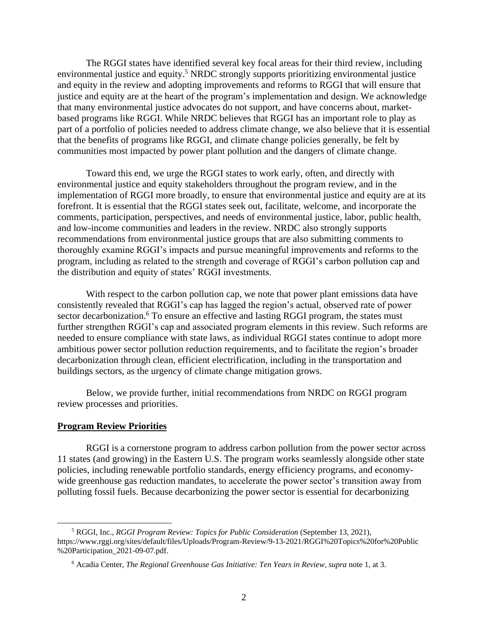<span id="page-1-0"></span>The RGGI states have identified several key focal areas for their third review, including environmental justice and equity.<sup>5</sup> NRDC strongly supports prioritizing environmental justice and equity in the review and adopting improvements and reforms to RGGI that will ensure that justice and equity are at the heart of the program's implementation and design. We acknowledge that many environmental justice advocates do not support, and have concerns about, marketbased programs like RGGI. While NRDC believes that RGGI has an important role to play as part of a portfolio of policies needed to address climate change, we also believe that it is essential that the benefits of programs like RGGI, and climate change policies generally, be felt by communities most impacted by power plant pollution and the dangers of climate change.

Toward this end, we urge the RGGI states to work early, often, and directly with environmental justice and equity stakeholders throughout the program review, and in the implementation of RGGI more broadly, to ensure that environmental justice and equity are at its forefront. It is essential that the RGGI states seek out, facilitate, welcome, and incorporate the comments, participation, perspectives, and needs of environmental justice, labor, public health, and low-income communities and leaders in the review. NRDC also strongly supports recommendations from environmental justice groups that are also submitting comments to thoroughly examine RGGI's impacts and pursue meaningful improvements and reforms to the program, including as related to the strength and coverage of RGGI's carbon pollution cap and the distribution and equity of states' RGGI investments.

With respect to the carbon pollution cap, we note that power plant emissions data have consistently revealed that RGGI's cap has lagged the region's actual, observed rate of power sector decarbonization.<sup>6</sup> To ensure an effective and lasting RGGI program, the states must further strengthen RGGI's cap and associated program elements in this review. Such reforms are needed to ensure compliance with state laws, as individual RGGI states continue to adopt more ambitious power sector pollution reduction requirements, and to facilitate the region's broader decarbonization through clean, efficient electrification, including in the transportation and buildings sectors, as the urgency of climate change mitigation grows.

Below, we provide further, initial recommendations from NRDC on RGGI program review processes and priorities.

## **Program Review Priorities**

RGGI is a cornerstone program to address carbon pollution from the power sector across 11 states (and growing) in the Eastern U.S. The program works seamlessly alongside other state policies, including renewable portfolio standards, energy efficiency programs, and economywide greenhouse gas reduction mandates, to accelerate the power sector's transition away from polluting fossil fuels. Because decarbonizing the power sector is essential for decarbonizing

<sup>5</sup> RGGI, Inc., *RGGI Program Review: Topics for Public Consideration* (September 13, 2021), https://www.rggi.org/sites/default/files/Uploads/Program-Review/9-13-2021/RGGI%20Topics%20for%20Public %20Participation\_2021-09-07.pdf.

<sup>6</sup> Acadia Center, *The Regional Greenhouse Gas Initiative: Ten Years in Review*, *supra* not[e 1,](#page-0-0) at 3.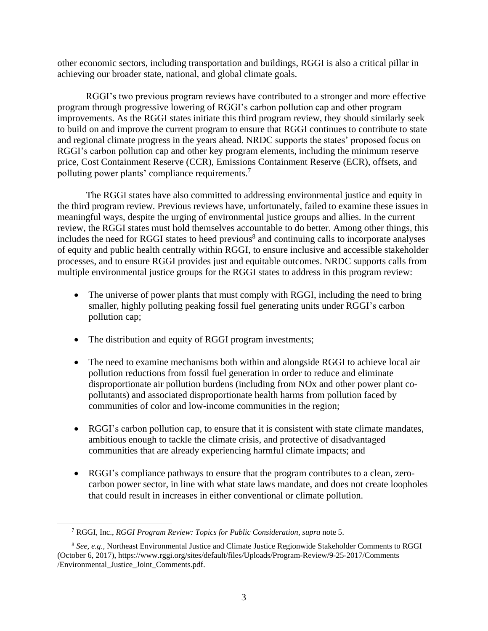other economic sectors, including transportation and buildings, RGGI is also a critical pillar in achieving our broader state, national, and global climate goals.

RGGI's two previous program reviews have contributed to a stronger and more effective program through progressive lowering of RGGI's carbon pollution cap and other program improvements. As the RGGI states initiate this third program review, they should similarly seek to build on and improve the current program to ensure that RGGI continues to contribute to state and regional climate progress in the years ahead. NRDC supports the states' proposed focus on RGGI's carbon pollution cap and other key program elements, including the minimum reserve price, Cost Containment Reserve (CCR), Emissions Containment Reserve (ECR), offsets, and polluting power plants' compliance requirements.<sup>7</sup>

The RGGI states have also committed to addressing environmental justice and equity in the third program review. Previous reviews have, unfortunately, failed to examine these issues in meaningful ways, despite the urging of environmental justice groups and allies. In the current review, the RGGI states must hold themselves accountable to do better. Among other things, this includes the need for RGGI states to heed previous<sup>8</sup> and continuing calls to incorporate analyses of equity and public health centrally within RGGI, to ensure inclusive and accessible stakeholder processes, and to ensure RGGI provides just and equitable outcomes. NRDC supports calls from multiple environmental justice groups for the RGGI states to address in this program review:

- The universe of power plants that must comply with RGGI, including the need to bring smaller, highly polluting peaking fossil fuel generating units under RGGI's carbon pollution cap;
- The distribution and equity of RGGI program investments;
- The need to examine mechanisms both within and alongside RGGI to achieve local air pollution reductions from fossil fuel generation in order to reduce and eliminate disproportionate air pollution burdens (including from NOx and other power plant copollutants) and associated disproportionate health harms from pollution faced by communities of color and low-income communities in the region;
- RGGI's carbon pollution cap, to ensure that it is consistent with state climate mandates, ambitious enough to tackle the climate crisis, and protective of disadvantaged communities that are already experiencing harmful climate impacts; and
- RGGI's compliance pathways to ensure that the program contributes to a clean, zerocarbon power sector, in line with what state laws mandate, and does not create loopholes that could result in increases in either conventional or climate pollution.

<sup>7</sup> RGGI, Inc., *RGGI Program Review: Topics for Public Consideration*, *supra* note [5.](#page-1-0)

<sup>8</sup> *See, e.g.,* Northeast Environmental Justice and Climate Justice Regionwide Stakeholder Comments to RGGI (October 6, 2017), https://www.rggi.org/sites/default/files/Uploads/Program-Review/9-25-2017/Comments /Environmental\_Justice\_Joint\_Comments.pdf.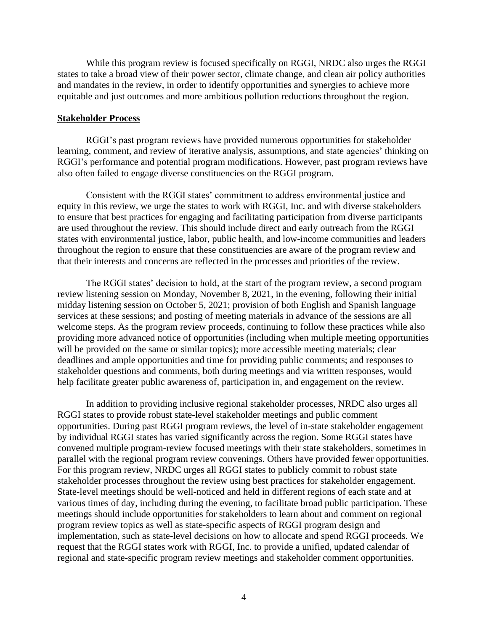While this program review is focused specifically on RGGI, NRDC also urges the RGGI states to take a broad view of their power sector, climate change, and clean air policy authorities and mandates in the review, in order to identify opportunities and synergies to achieve more equitable and just outcomes and more ambitious pollution reductions throughout the region.

### **Stakeholder Process**

RGGI's past program reviews have provided numerous opportunities for stakeholder learning, comment, and review of iterative analysis, assumptions, and state agencies' thinking on RGGI's performance and potential program modifications. However, past program reviews have also often failed to engage diverse constituencies on the RGGI program.

Consistent with the RGGI states' commitment to address environmental justice and equity in this review, we urge the states to work with RGGI, Inc. and with diverse stakeholders to ensure that best practices for engaging and facilitating participation from diverse participants are used throughout the review. This should include direct and early outreach from the RGGI states with environmental justice, labor, public health, and low-income communities and leaders throughout the region to ensure that these constituencies are aware of the program review and that their interests and concerns are reflected in the processes and priorities of the review.

The RGGI states' decision to hold, at the start of the program review, a second program review listening session on Monday, November 8, 2021, in the evening, following their initial midday listening session on October 5, 2021; provision of both English and Spanish language services at these sessions; and posting of meeting materials in advance of the sessions are all welcome steps. As the program review proceeds, continuing to follow these practices while also providing more advanced notice of opportunities (including when multiple meeting opportunities will be provided on the same or similar topics); more accessible meeting materials; clear deadlines and ample opportunities and time for providing public comments; and responses to stakeholder questions and comments, both during meetings and via written responses, would help facilitate greater public awareness of, participation in, and engagement on the review.

In addition to providing inclusive regional stakeholder processes, NRDC also urges all RGGI states to provide robust state-level stakeholder meetings and public comment opportunities. During past RGGI program reviews, the level of in-state stakeholder engagement by individual RGGI states has varied significantly across the region. Some RGGI states have convened multiple program-review focused meetings with their state stakeholders, sometimes in parallel with the regional program review convenings. Others have provided fewer opportunities. For this program review, NRDC urges all RGGI states to publicly commit to robust state stakeholder processes throughout the review using best practices for stakeholder engagement. State-level meetings should be well-noticed and held in different regions of each state and at various times of day, including during the evening, to facilitate broad public participation. These meetings should include opportunities for stakeholders to learn about and comment on regional program review topics as well as state-specific aspects of RGGI program design and implementation, such as state-level decisions on how to allocate and spend RGGI proceeds. We request that the RGGI states work with RGGI, Inc. to provide a unified, updated calendar of regional and state-specific program review meetings and stakeholder comment opportunities.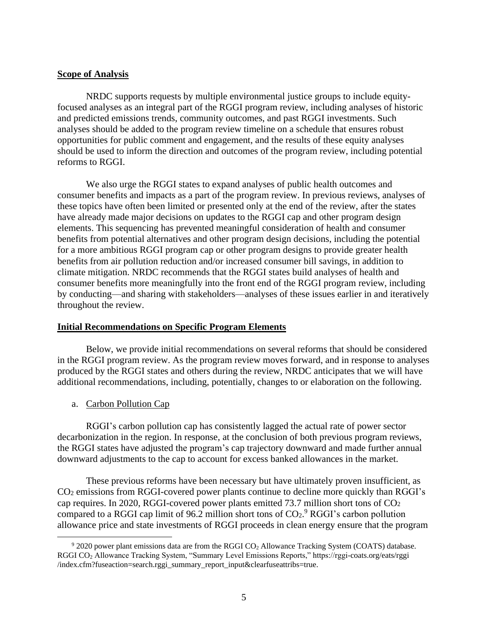## **Scope of Analysis**

NRDC supports requests by multiple environmental justice groups to include equityfocused analyses as an integral part of the RGGI program review, including analyses of historic and predicted emissions trends, community outcomes, and past RGGI investments. Such analyses should be added to the program review timeline on a schedule that ensures robust opportunities for public comment and engagement, and the results of these equity analyses should be used to inform the direction and outcomes of the program review, including potential reforms to RGGI.

We also urge the RGGI states to expand analyses of public health outcomes and consumer benefits and impacts as a part of the program review. In previous reviews, analyses of these topics have often been limited or presented only at the end of the review, after the states have already made major decisions on updates to the RGGI cap and other program design elements. This sequencing has prevented meaningful consideration of health and consumer benefits from potential alternatives and other program design decisions, including the potential for a more ambitious RGGI program cap or other program designs to provide greater health benefits from air pollution reduction and/or increased consumer bill savings, in addition to climate mitigation. NRDC recommends that the RGGI states build analyses of health and consumer benefits more meaningfully into the front end of the RGGI program review, including by conducting—and sharing with stakeholders—analyses of these issues earlier in and iteratively throughout the review.

## **Initial Recommendations on Specific Program Elements**

Below, we provide initial recommendations on several reforms that should be considered in the RGGI program review. As the program review moves forward, and in response to analyses produced by the RGGI states and others during the review, NRDC anticipates that we will have additional recommendations, including, potentially, changes to or elaboration on the following.

a. Carbon Pollution Cap

RGGI's carbon pollution cap has consistently lagged the actual rate of power sector decarbonization in the region. In response, at the conclusion of both previous program reviews, the RGGI states have adjusted the program's cap trajectory downward and made further annual downward adjustments to the cap to account for excess banked allowances in the market.

These previous reforms have been necessary but have ultimately proven insufficient, as CO<sup>2</sup> emissions from RGGI-covered power plants continue to decline more quickly than RGGI's cap requires. In 2020, RGGI-covered power plants emitted 73.7 million short tons of CO<sup>2</sup> compared to a RGGI cap limit of 96.2 million short tons of  $CO<sub>2</sub>$ . RGGI's carbon pollution allowance price and state investments of RGGI proceeds in clean energy ensure that the program

 $92020$  power plant emissions data are from the RGGI CO<sub>2</sub> Allowance Tracking System (COATS) database. RGGI CO<sup>2</sup> Allowance Tracking System, "Summary Level Emissions Reports," https://rggi-coats.org/eats/rggi /index.cfm?fuseaction=search.rggi\_summary\_report\_input&clearfuseattribs=true.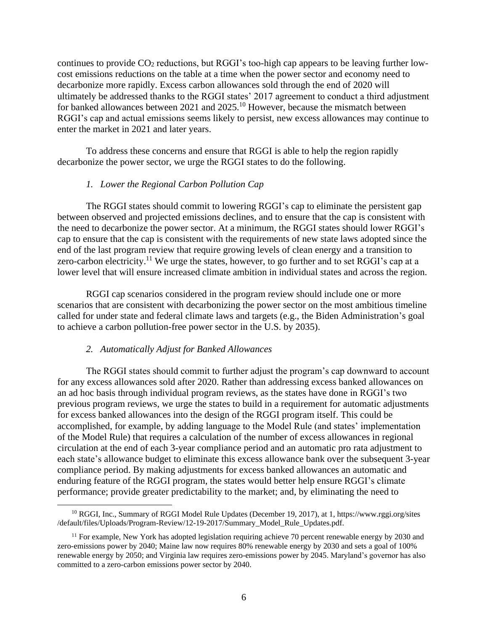continues to provide CO<sup>2</sup> reductions, but RGGI's too-high cap appears to be leaving further lowcost emissions reductions on the table at a time when the power sector and economy need to decarbonize more rapidly. Excess carbon allowances sold through the end of 2020 will ultimately be addressed thanks to the RGGI states' 2017 agreement to conduct a third adjustment for banked allowances between 2021 and 2025.<sup>10</sup> However, because the mismatch between RGGI's cap and actual emissions seems likely to persist, new excess allowances may continue to enter the market in 2021 and later years.

To address these concerns and ensure that RGGI is able to help the region rapidly decarbonize the power sector, we urge the RGGI states to do the following.

## *1. Lower the Regional Carbon Pollution Cap*

The RGGI states should commit to lowering RGGI's cap to eliminate the persistent gap between observed and projected emissions declines, and to ensure that the cap is consistent with the need to decarbonize the power sector. At a minimum, the RGGI states should lower RGGI's cap to ensure that the cap is consistent with the requirements of new state laws adopted since the end of the last program review that require growing levels of clean energy and a transition to zero-carbon electricity.<sup>11</sup> We urge the states, however, to go further and to set RGGI's cap at a lower level that will ensure increased climate ambition in individual states and across the region.

RGGI cap scenarios considered in the program review should include one or more scenarios that are consistent with decarbonizing the power sector on the most ambitious timeline called for under state and federal climate laws and targets (e.g., the Biden Administration's goal to achieve a carbon pollution-free power sector in the U.S. by 2035).

#### *2. Automatically Adjust for Banked Allowances*

The RGGI states should commit to further adjust the program's cap downward to account for any excess allowances sold after 2020. Rather than addressing excess banked allowances on an ad hoc basis through individual program reviews, as the states have done in RGGI's two previous program reviews, we urge the states to build in a requirement for automatic adjustments for excess banked allowances into the design of the RGGI program itself. This could be accomplished, for example, by adding language to the Model Rule (and states' implementation of the Model Rule) that requires a calculation of the number of excess allowances in regional circulation at the end of each 3-year compliance period and an automatic pro rata adjustment to each state's allowance budget to eliminate this excess allowance bank over the subsequent 3-year compliance period. By making adjustments for excess banked allowances an automatic and enduring feature of the RGGI program, the states would better help ensure RGGI's climate performance; provide greater predictability to the market; and, by eliminating the need to

<sup>10</sup> RGGI, Inc., Summary of RGGI Model Rule Updates (December 19, 2017), at 1, https://www.rggi.org/sites /default/files/Uploads/Program-Review/12-19-2017/Summary\_Model\_Rule\_Updates.pdf.

 $11$  For example, New York has adopted legislation requiring achieve 70 percent renewable energy by 2030 and zero-emissions power by 2040; Maine law now requires 80% renewable energy by 2030 and sets a goal of 100% renewable energy by 2050; and Virginia law requires zero-emissions power by 2045. Maryland's governor has also committed to a zero-carbon emissions power sector by 2040.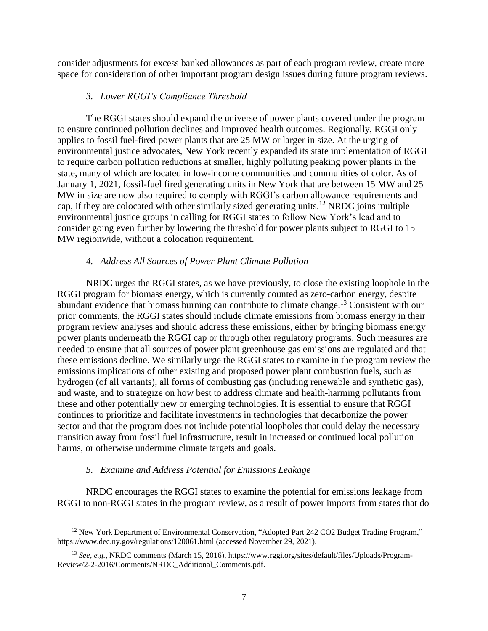consider adjustments for excess banked allowances as part of each program review, create more space for consideration of other important program design issues during future program reviews.

## *3. Lower RGGI's Compliance Threshold*

The RGGI states should expand the universe of power plants covered under the program to ensure continued pollution declines and improved health outcomes. Regionally, RGGI only applies to fossil fuel-fired power plants that are 25 MW or larger in size. At the urging of environmental justice advocates, New York recently expanded its state implementation of RGGI to require carbon pollution reductions at smaller, highly polluting peaking power plants in the state, many of which are located in low-income communities and communities of color. As of January 1, 2021, fossil-fuel fired generating units in New York that are between 15 MW and 25 MW in size are now also required to comply with RGGI's carbon allowance requirements and cap, if they are colocated with other similarly sized generating units.<sup>12</sup> NRDC joins multiple environmental justice groups in calling for RGGI states to follow New York's lead and to consider going even further by lowering the threshold for power plants subject to RGGI to 15 MW regionwide, without a colocation requirement.

## *4. Address All Sources of Power Plant Climate Pollution*

NRDC urges the RGGI states, as we have previously, to close the existing loophole in the RGGI program for biomass energy, which is currently counted as zero-carbon energy, despite abundant evidence that biomass burning can contribute to climate change.<sup>13</sup> Consistent with our prior comments, the RGGI states should include climate emissions from biomass energy in their program review analyses and should address these emissions, either by bringing biomass energy power plants underneath the RGGI cap or through other regulatory programs. Such measures are needed to ensure that all sources of power plant greenhouse gas emissions are regulated and that these emissions decline. We similarly urge the RGGI states to examine in the program review the emissions implications of other existing and proposed power plant combustion fuels, such as hydrogen (of all variants), all forms of combusting gas (including renewable and synthetic gas), and waste, and to strategize on how best to address climate and health-harming pollutants from these and other potentially new or emerging technologies. It is essential to ensure that RGGI continues to prioritize and facilitate investments in technologies that decarbonize the power sector and that the program does not include potential loopholes that could delay the necessary transition away from fossil fuel infrastructure, result in increased or continued local pollution harms, or otherwise undermine climate targets and goals.

### *5. Examine and Address Potential for Emissions Leakage*

NRDC encourages the RGGI states to examine the potential for emissions leakage from RGGI to non-RGGI states in the program review, as a result of power imports from states that do

<sup>&</sup>lt;sup>12</sup> New York Department of Environmental Conservation, "Adopted Part 242 CO2 Budget Trading Program," https://www.dec.ny.gov/regulations/120061.html (accessed November 29, 2021).

<sup>13</sup> *See, e.g.,* NRDC comments (March 15, 2016), https://www.rggi.org/sites/default/files/Uploads/Program-Review/2-2-2016/Comments/NRDC\_Additional\_Comments.pdf.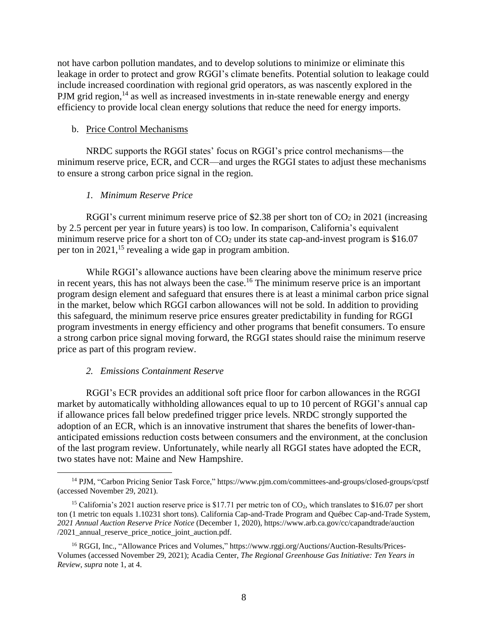not have carbon pollution mandates, and to develop solutions to minimize or eliminate this leakage in order to protect and grow RGGI's climate benefits. Potential solution to leakage could include increased coordination with regional grid operators, as was nascently explored in the PJM grid region, $14$  as well as increased investments in in-state renewable energy and energy efficiency to provide local clean energy solutions that reduce the need for energy imports.

#### b. Price Control Mechanisms

NRDC supports the RGGI states' focus on RGGI's price control mechanisms—the minimum reserve price, ECR, and CCR—and urges the RGGI states to adjust these mechanisms to ensure a strong carbon price signal in the region.

## *1. Minimum Reserve Price*

RGGI's current minimum reserve price of \$2.38 per short ton of  $CO<sub>2</sub>$  in 2021 (increasing by 2.5 percent per year in future years) is too low. In comparison, California's equivalent minimum reserve price for a short ton of  $CO<sub>2</sub>$  under its state cap-and-invest program is \$16.07 per ton in  $2021$ ,<sup>15</sup> revealing a wide gap in program ambition.

While RGGI's allowance auctions have been clearing above the minimum reserve price in recent years, this has not always been the case.<sup>16</sup> The minimum reserve price is an important program design element and safeguard that ensures there is at least a minimal carbon price signal in the market, below which RGGI carbon allowances will not be sold. In addition to providing this safeguard, the minimum reserve price ensures greater predictability in funding for RGGI program investments in energy efficiency and other programs that benefit consumers. To ensure a strong carbon price signal moving forward, the RGGI states should raise the minimum reserve price as part of this program review.

#### *2. Emissions Containment Reserve*

RGGI's ECR provides an additional soft price floor for carbon allowances in the RGGI market by automatically withholding allowances equal to up to 10 percent of RGGI's annual cap if allowance prices fall below predefined trigger price levels. NRDC strongly supported the adoption of an ECR, which is an innovative instrument that shares the benefits of lower-thananticipated emissions reduction costs between consumers and the environment, at the conclusion of the last program review. Unfortunately, while nearly all RGGI states have adopted the ECR, two states have not: Maine and New Hampshire.

<sup>14</sup> PJM, "Carbon Pricing Senior Task Force," https://www.pjm.com/committees-and-groups/closed-groups/cpstf (accessed November 29, 2021).

<sup>&</sup>lt;sup>15</sup> California's 2021 auction reserve price is \$17.71 per metric ton of  $CO<sub>2</sub>$ , which translates to \$16.07 per short ton (1 metric ton equals 1.10231 short tons). California Cap-and-Trade Program and Québec Cap-and-Trade System, *2021 Annual Auction Reserve Price Notice* (December 1, 2020), https://www.arb.ca.gov/cc/capandtrade/auction /2021 annual reserve price notice joint auction.pdf.

<sup>16</sup> RGGI, Inc., "Allowance Prices and Volumes," https://www.rggi.org/Auctions/Auction-Results/Prices-Volumes (accessed November 29, 2021); Acadia Center, *The Regional Greenhouse Gas Initiative: Ten Years in Review*, *supra* note [1,](#page-0-0) at 4.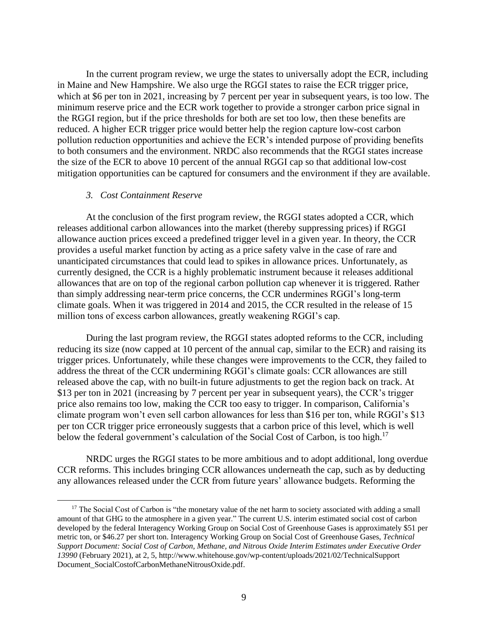In the current program review, we urge the states to universally adopt the ECR, including in Maine and New Hampshire. We also urge the RGGI states to raise the ECR trigger price, which at \$6 per ton in 2021, increasing by 7 percent per year in subsequent years, is too low. The minimum reserve price and the ECR work together to provide a stronger carbon price signal in the RGGI region, but if the price thresholds for both are set too low, then these benefits are reduced. A higher ECR trigger price would better help the region capture low-cost carbon pollution reduction opportunities and achieve the ECR's intended purpose of providing benefits to both consumers and the environment. NRDC also recommends that the RGGI states increase the size of the ECR to above 10 percent of the annual RGGI cap so that additional low-cost mitigation opportunities can be captured for consumers and the environment if they are available.

## *3. Cost Containment Reserve*

At the conclusion of the first program review, the RGGI states adopted a CCR, which releases additional carbon allowances into the market (thereby suppressing prices) if RGGI allowance auction prices exceed a predefined trigger level in a given year. In theory, the CCR provides a useful market function by acting as a price safety valve in the case of rare and unanticipated circumstances that could lead to spikes in allowance prices. Unfortunately, as currently designed, the CCR is a highly problematic instrument because it releases additional allowances that are on top of the regional carbon pollution cap whenever it is triggered. Rather than simply addressing near-term price concerns, the CCR undermines RGGI's long-term climate goals. When it was triggered in 2014 and 2015, the CCR resulted in the release of 15 million tons of excess carbon allowances, greatly weakening RGGI's cap.

During the last program review, the RGGI states adopted reforms to the CCR, including reducing its size (now capped at 10 percent of the annual cap, similar to the ECR) and raising its trigger prices. Unfortunately, while these changes were improvements to the CCR, they failed to address the threat of the CCR undermining RGGI's climate goals: CCR allowances are still released above the cap, with no built-in future adjustments to get the region back on track. At \$13 per ton in 2021 (increasing by 7 percent per year in subsequent years), the CCR's trigger price also remains too low, making the CCR too easy to trigger. In comparison, California's climate program won't even sell carbon allowances for less than \$16 per ton, while RGGI's \$13 per ton CCR trigger price erroneously suggests that a carbon price of this level, which is well below the federal government's calculation of the Social Cost of Carbon, is too high.<sup>17</sup>

NRDC urges the RGGI states to be more ambitious and to adopt additional, long overdue CCR reforms. This includes bringing CCR allowances underneath the cap, such as by deducting any allowances released under the CCR from future years' allowance budgets. Reforming the

<sup>&</sup>lt;sup>17</sup> The Social Cost of Carbon is "the monetary value of the net harm to society associated with adding a small amount of that GHG to the atmosphere in a given year." The current U.S. interim estimated social cost of carbon developed by the federal Interagency Working Group on Social Cost of Greenhouse Gases is approximately \$51 per metric ton, or \$46.27 per short ton. Interagency Working Group on Social Cost of Greenhouse Gases, *Technical Support Document: Social Cost of Carbon, Methane, and Nitrous Oxide Interim Estimates under Executive Order 13990* (February 2021), at 2, 5, http://www.whitehouse.gov/wp-content/uploads/2021/02/TechnicalSupport Document\_SocialCostofCarbonMethaneNitrousOxide.pdf.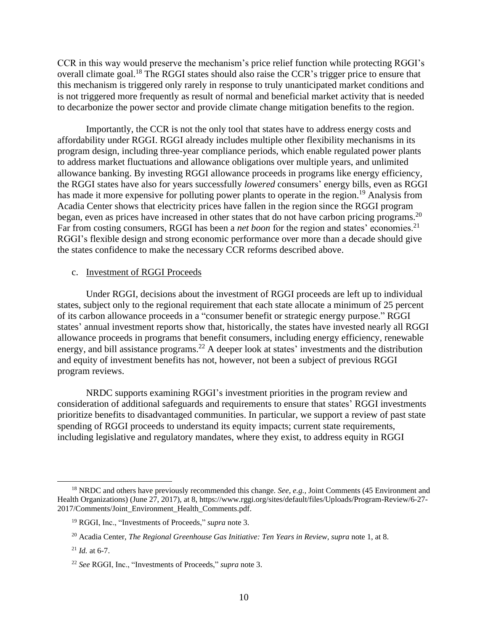CCR in this way would preserve the mechanism's price relief function while protecting RGGI's overall climate goal.<sup>18</sup> The RGGI states should also raise the CCR's trigger price to ensure that this mechanism is triggered only rarely in response to truly unanticipated market conditions and is not triggered more frequently as result of normal and beneficial market activity that is needed to decarbonize the power sector and provide climate change mitigation benefits to the region.

Importantly, the CCR is not the only tool that states have to address energy costs and affordability under RGGI. RGGI already includes multiple other flexibility mechanisms in its program design, including three-year compliance periods, which enable regulated power plants to address market fluctuations and allowance obligations over multiple years, and unlimited allowance banking. By investing RGGI allowance proceeds in programs like energy efficiency, the RGGI states have also for years successfully *lowered* consumers' energy bills, even as RGGI has made it more expensive for polluting power plants to operate in the region.<sup>19</sup> Analysis from Acadia Center shows that electricity prices have fallen in the region since the RGGI program began, even as prices have increased in other states that do not have carbon pricing programs.<sup>20</sup> Far from costing consumers, RGGI has been a *net boon* for the region and states' economies.<sup>21</sup> RGGI's flexible design and strong economic performance over more than a decade should give the states confidence to make the necessary CCR reforms described above.

#### c. Investment of RGGI Proceeds

Under RGGI, decisions about the investment of RGGI proceeds are left up to individual states, subject only to the regional requirement that each state allocate a minimum of 25 percent of its carbon allowance proceeds in a "consumer benefit or strategic energy purpose." RGGI states' annual investment reports show that, historically, the states have invested nearly all RGGI allowance proceeds in programs that benefit consumers, including energy efficiency, renewable energy, and bill assistance programs.<sup>22</sup> A deeper look at states' investments and the distribution and equity of investment benefits has not, however, not been a subject of previous RGGI program reviews.

NRDC supports examining RGGI's investment priorities in the program review and consideration of additional safeguards and requirements to ensure that states' RGGI investments prioritize benefits to disadvantaged communities. In particular, we support a review of past state spending of RGGI proceeds to understand its equity impacts; current state requirements, including legislative and regulatory mandates, where they exist, to address equity in RGGI

<sup>18</sup> NRDC and others have previously recommended this change. *See, e.g.,* Joint Comments (45 Environment and Health Organizations) (June 27, 2017), at 8, https://www.rggi.org/sites/default/files/Uploads/Program-Review/6-27- 2017/Comments/Joint\_Environment\_Health\_Comments.pdf.

<sup>19</sup> RGGI, Inc., "Investments of Proceeds," *supra* note [3.](#page-0-1)

<sup>20</sup> Acadia Center, *The Regional Greenhouse Gas Initiative: Ten Years in Review*, *supra* note [1,](#page-0-0) at 8.

 $^{21}$  *Id.* at 6-7.

<sup>22</sup> *See* RGGI, Inc., "Investments of Proceeds," *supra* not[e 3.](#page-0-1)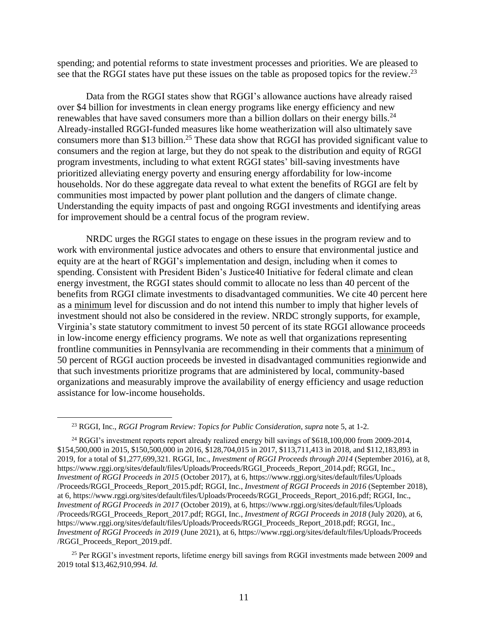spending; and potential reforms to state investment processes and priorities. We are pleased to see that the RGGI states have put these issues on the table as proposed topics for the review.<sup>23</sup>

Data from the RGGI states show that RGGI's allowance auctions have already raised over \$4 billion for investments in clean energy programs like energy efficiency and new renewables that have saved consumers more than a billion dollars on their energy bills.<sup>24</sup> Already-installed RGGI-funded measures like home weatherization will also ultimately save consumers more than \$13 billion.<sup>25</sup> These data show that RGGI has provided significant value to consumers and the region at large, but they do not speak to the distribution and equity of RGGI program investments, including to what extent RGGI states' bill-saving investments have prioritized alleviating energy poverty and ensuring energy affordability for low-income households. Nor do these aggregate data reveal to what extent the benefits of RGGI are felt by communities most impacted by power plant pollution and the dangers of climate change. Understanding the equity impacts of past and ongoing RGGI investments and identifying areas for improvement should be a central focus of the program review.

NRDC urges the RGGI states to engage on these issues in the program review and to work with environmental justice advocates and others to ensure that environmental justice and equity are at the heart of RGGI's implementation and design, including when it comes to spending. Consistent with President Biden's Justice40 Initiative for federal climate and clean energy investment, the RGGI states should commit to allocate no less than 40 percent of the benefits from RGGI climate investments to disadvantaged communities. We cite 40 percent here as a minimum level for discussion and do not intend this number to imply that higher levels of investment should not also be considered in the review. NRDC strongly supports, for example, Virginia's state statutory commitment to invest 50 percent of its state RGGI allowance proceeds in low-income energy efficiency programs. We note as well that organizations representing frontline communities in Pennsylvania are recommending in their comments that a minimum of 50 percent of RGGI auction proceeds be invested in disadvantaged communities regionwide and that such investments prioritize programs that are administered by local, community-based organizations and measurably improve the availability of energy efficiency and usage reduction assistance for low-income households.

<sup>23</sup> RGGI, Inc., *RGGI Program Review: Topics for Public Consideration*, *supra* not[e 5,](#page-1-0) at 1-2.

<sup>&</sup>lt;sup>24</sup> RGGI's investment reports report already realized energy bill savings of \$618,100,000 from 2009-2014, \$154,500,000 in 2015, \$150,500,000 in 2016, \$128,704,015 in 2017, \$113,711,413 in 2018, and \$112,183,893 in 2019, for a total of \$1,277,699,321. RGGI, Inc., *Investment of RGGI Proceeds through 2014* (September 2016), at 8, https://www.rggi.org/sites/default/files/Uploads/Proceeds/RGGI\_Proceeds\_Report\_2014.pdf; RGGI, Inc., *Investment of RGGI Proceeds in 2015* (October 2017), at 6, https://www.rggi.org/sites/default/files/Uploads /Proceeds/RGGI\_Proceeds\_Report\_2015.pdf; RGGI, Inc., *Investment of RGGI Proceeds in 2016* (September 2018), at 6, https://www.rggi.org/sites/default/files/Uploads/Proceeds/RGGI\_Proceeds\_Report\_2016.pdf; RGGI, Inc., *Investment of RGGI Proceeds in 2017* (October 2019), at 6, https://www.rggi.org/sites/default/files/Uploads /Proceeds/RGGI\_Proceeds\_Report\_2017.pdf; RGGI, Inc., *Investment of RGGI Proceeds in 2018* (July 2020), at 6, https://www.rggi.org/sites/default/files/Uploads/Proceeds/RGGI\_Proceeds\_Report\_2018.pdf; RGGI, Inc., *Investment of RGGI Proceeds in 2019* (June 2021), at 6, https://www.rggi.org/sites/default/files/Uploads/Proceeds /RGGI\_Proceeds\_Report\_2019.pdf.

<sup>&</sup>lt;sup>25</sup> Per RGGI's investment reports, lifetime energy bill savings from RGGI investments made between 2009 and 2019 total \$13,462,910,994. *Id.*